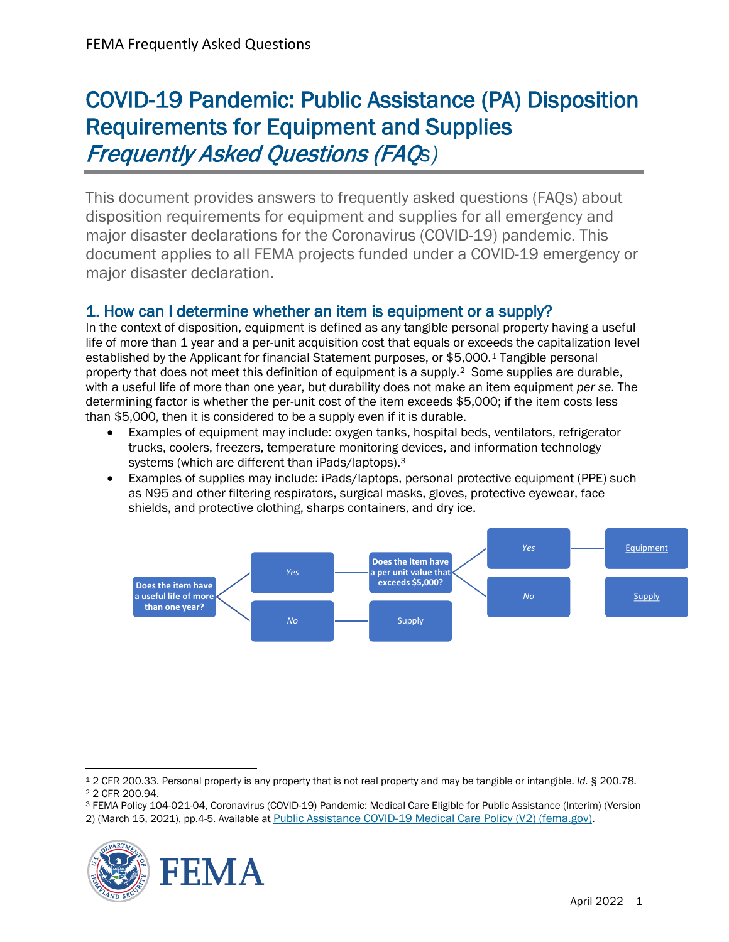# COVID-19 Pandemic: Public Assistance (PA) Disposition Requirements for Equipment and Supplies Frequently Asked Questions (FAQ*s)*

This document provides answers to frequently asked questions (FAQs) about disposition requirements for equipment and supplies for all emergency and major disaster declarations for the Coronavirus (COVID-19) pandemic. This document applies to all FEMA projects funded under a COVID-19 emergency or major disaster declaration.

1. How can I determine whether an item is equipment or a supply?<br>In the context of disposition, equipment is defined as any tangible personal property having a useful life of more than 1 year and a per-unit acquisition cost that equals or exceeds the capitalization level established by the Applicant for financial Statement purposes, or \$5,000.[1](#page-0-0) Tangible personal property that does not meet this definition of equipment is a supply.[2](#page-0-1) Some supplies are durable, with a useful life of more than one year, but durability does not make an item equipment *per se*. The determining factor is whether the per-unit cost of the item exceeds \$5,000; if the item costs less than \$5,000, then it is considered to be a supply even if it is durable.

- Examples of equipment may include: oxygen tanks, hospital beds, ventilators, refrigerator trucks, coolers, freezers, temperature monitoring devices, and information technology systems (which are different than iPads/laptops).[3](#page-0-2)
- Examples of supplies may include: iPads/laptops, personal protective equipment (PPE) such as N95 and other filtering respirators, surgical masks, gloves, protective eyewear, face shields, and protective clothing, sharps containers, and dry ice.



<span id="page-0-2"></span><span id="page-0-1"></span><sup>2) (</sup>March 15, 2021), pp.4-5. Available at **Public Assistance COVID-19 Medical Care Policy** (V2) (fema.gov).



<span id="page-0-0"></span><sup>1</sup> 2 CFR 200.33. Personal property is any property that is not real property and may be tangible or intangible. *Id.* § 200.78.

<sup>2</sup> 2 CFR 200.94.

<sup>3</sup> FEMA Policy 104-021-04, Coronavirus (COVID-19) Pandemic: Medical Care Eligible for Public Assistance (Interim) (Version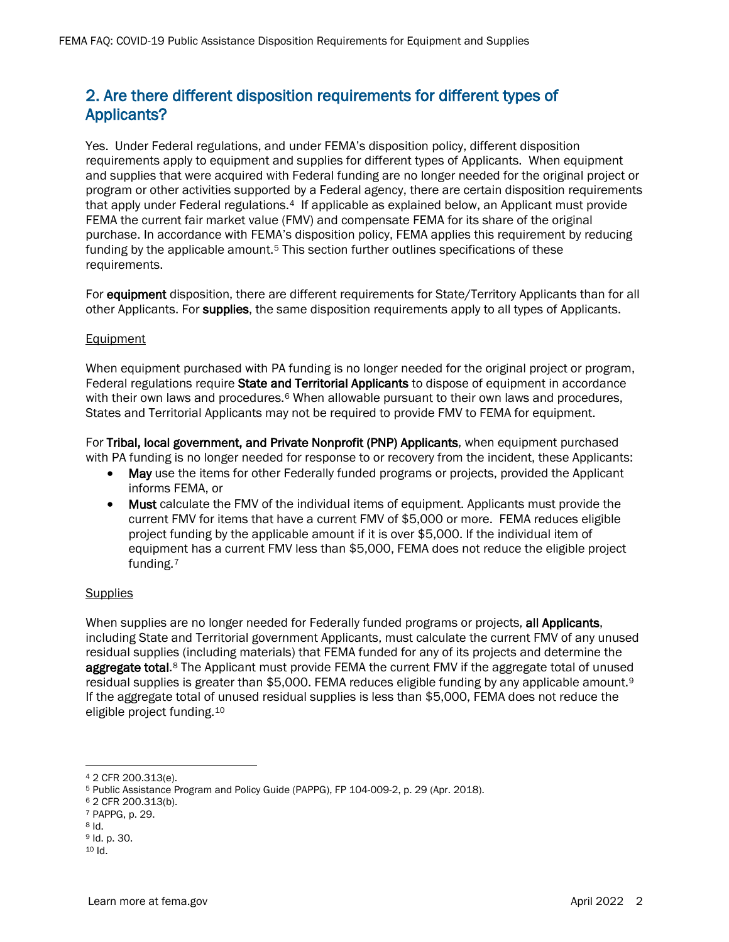# 2. Are there different disposition requirements for different types of Applicants?

Yes. Under Federal regulations, and under FEMA's disposition policy, different disposition requirements apply to equipment and supplies for different types of Applicants. When equipment and supplies that were acquired with Federal funding are no longer needed for the original project or program or other activities supported by a Federal agency, there are certain disposition requirements that apply under Federal regulations.<sup>[4](#page-1-0)</sup> If applicable as explained below, an Applicant must provide FEMA the current fair market value (FMV) and compensate FEMA for its share of the original purchase. In accordance with FEMA's disposition policy, FEMA applies this requirement by reducing funding by the applicable amount.<sup>[5](#page-1-1)</sup> This section further outlines specifications of these requirements.

For equipment disposition, there are different requirements for State/Territory Applicants than for all other Applicants. For supplies, the same disposition requirements apply to all types of Applicants.

### **Equipment**

When equipment purchased with PA funding is no longer needed for the original project or program, Federal regulations require State and Territorial Applicants to dispose of equipment in accordance with their own laws and procedures.<sup>[6](#page-1-2)</sup> When allowable pursuant to their own laws and procedures, States and Territorial Applicants may not be required to provide FMV to FEMA for equipment.

For Tribal, local government, and Private Nonprofit (PNP) Applicants, when equipment purchased with PA funding is no longer needed for response to or recovery from the incident, these Applicants:

- May use the items for other Federally funded programs or projects, provided the Applicant informs FEMA, or
- Must calculate the FMV of the individual items of equipment. Applicants must provide the current FMV for items that have a current FMV of \$5,000 or more. FEMA reduces eligible project funding by the applicable amount if it is over \$5,000. If the individual item of equipment has a current FMV less than \$5,000, FEMA does not reduce the eligible project funding.[7](#page-1-3)

#### **Supplies**

When supplies are no longer needed for Federally funded programs or projects, all Applicants, including State and Territorial government Applicants, must calculate the current FMV of any unused residual supplies (including materials) that FEMA funded for any of its projects and determine the aggregate total.<sup>[8](#page-1-4)</sup> The Applicant must provide FEMA the current FMV if the aggregate total of unused residual supplies is greater than \$5,000. FEMA reduces eligible funding by any applicable amount.<sup>9</sup> If the aggregate total of unused residual supplies is less than \$5,000, FEMA does not reduce the eligible project funding.[10](#page-1-6)

<span id="page-1-5"></span><span id="page-1-4"></span><span id="page-1-3"></span><sup>8</sup> Id.

<span id="page-1-0"></span><sup>4</sup> 2 CFR 200.313(e).

<span id="page-1-1"></span><sup>5</sup> Public Assistance Program and Policy Guide (PAPPG), FP 104-009-2, p. 29 (Apr. 2018).

<span id="page-1-2"></span><sup>6</sup> 2 CFR 200.313(b).

<sup>7</sup> PAPPG, p. 29.

<sup>9</sup> Id. p. 30.

<span id="page-1-6"></span><sup>10</sup> Id.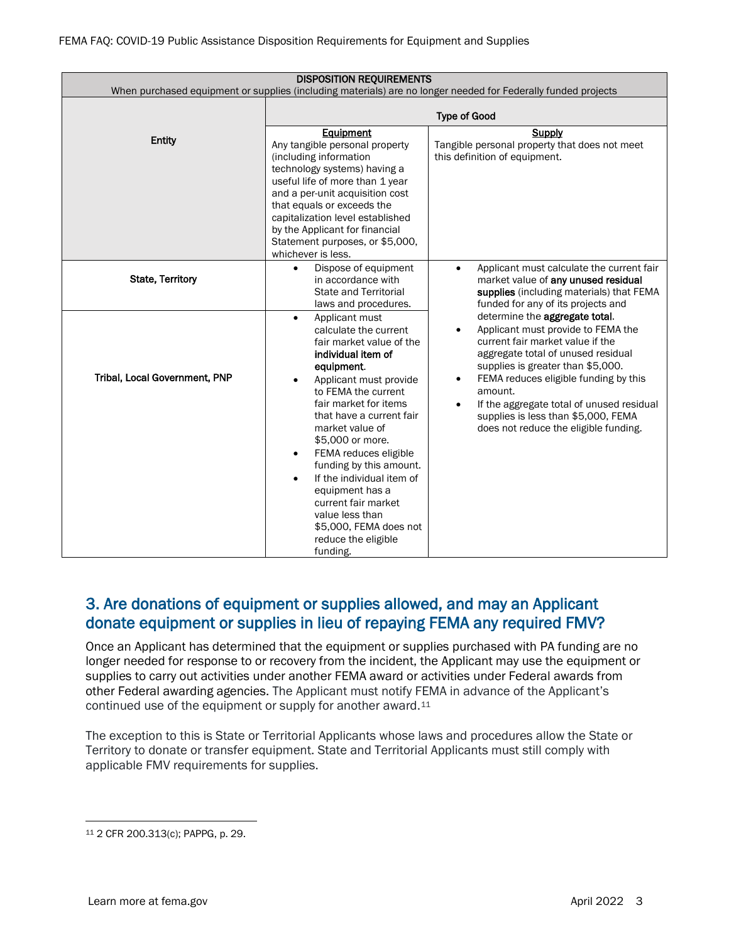| <b>DISPOSITION REQUIREMENTS</b><br>When purchased equipment or supplies (including materials) are no longer needed for Federally funded projects |                                                                                                                                                                                                                                                                                                                                                                                                                                                                                           |                                                                                                                                                                                                                                                                                                                                                                                                |  |  |  |  |  |  |  |
|--------------------------------------------------------------------------------------------------------------------------------------------------|-------------------------------------------------------------------------------------------------------------------------------------------------------------------------------------------------------------------------------------------------------------------------------------------------------------------------------------------------------------------------------------------------------------------------------------------------------------------------------------------|------------------------------------------------------------------------------------------------------------------------------------------------------------------------------------------------------------------------------------------------------------------------------------------------------------------------------------------------------------------------------------------------|--|--|--|--|--|--|--|
|                                                                                                                                                  | <b>Type of Good</b>                                                                                                                                                                                                                                                                                                                                                                                                                                                                       |                                                                                                                                                                                                                                                                                                                                                                                                |  |  |  |  |  |  |  |
| Entity                                                                                                                                           | Equipment<br>Any tangible personal property<br>(including information<br>technology systems) having a<br>useful life of more than 1 year<br>and a per-unit acquisition cost<br>that equals or exceeds the<br>capitalization level established<br>by the Applicant for financial<br>Statement purposes, or \$5,000,<br>whichever is less.                                                                                                                                                  | Supply<br>Tangible personal property that does not meet<br>this definition of equipment.                                                                                                                                                                                                                                                                                                       |  |  |  |  |  |  |  |
| <b>State, Territory</b>                                                                                                                          | Dispose of equipment<br>$\bullet$<br>in accordance with<br><b>State and Territorial</b><br>laws and procedures.                                                                                                                                                                                                                                                                                                                                                                           | Applicant must calculate the current fair<br>$\bullet$<br>market value of any unused residual<br>supplies (including materials) that FEMA<br>funded for any of its projects and                                                                                                                                                                                                                |  |  |  |  |  |  |  |
| Tribal, Local Government, PNP                                                                                                                    | Applicant must<br>$\bullet$<br>calculate the current<br>fair market value of the<br>individual item of<br>equipment.<br>Applicant must provide<br>to FEMA the current<br>fair market for items<br>that have a current fair<br>market value of<br>\$5,000 or more.<br>FEMA reduces eligible<br>funding by this amount.<br>If the individual item of<br>$\bullet$<br>equipment has a<br>current fair market<br>value less than<br>\$5,000, FEMA does not<br>reduce the eligible<br>funding. | determine the aggregate total.<br>Applicant must provide to FEMA the<br>$\bullet$<br>current fair market value if the<br>aggregate total of unused residual<br>supplies is greater than \$5,000.<br>FEMA reduces eligible funding by this<br>$\bullet$<br>amount.<br>If the aggregate total of unused residual<br>supplies is less than \$5,000, FEMA<br>does not reduce the eligible funding. |  |  |  |  |  |  |  |

# 3. Are donations of equipment or supplies allowed, and may an Applicant donate equipment or supplies in lieu of repaying FEMA any required FMV?

Once an Applicant has determined that the equipment or supplies purchased with PA funding are no longer needed for response to or recovery from the incident, the Applicant may use the equipment or supplies to carry out activities under another FEMA award or activities under Federal awards from other Federal awarding agencies. The Applicant must notify FEMA in advance of the Applicant's continued use of the equipment or supply for another award.[11](#page-2-0)

The exception to this is State or Territorial Applicants whose laws and procedures allow the State or Territory to donate or transfer equipment. State and Territorial Applicants must still comply with applicable FMV requirements for supplies.

<span id="page-2-0"></span><sup>11</sup> 2 CFR 200.313(c); PAPPG, p. 29.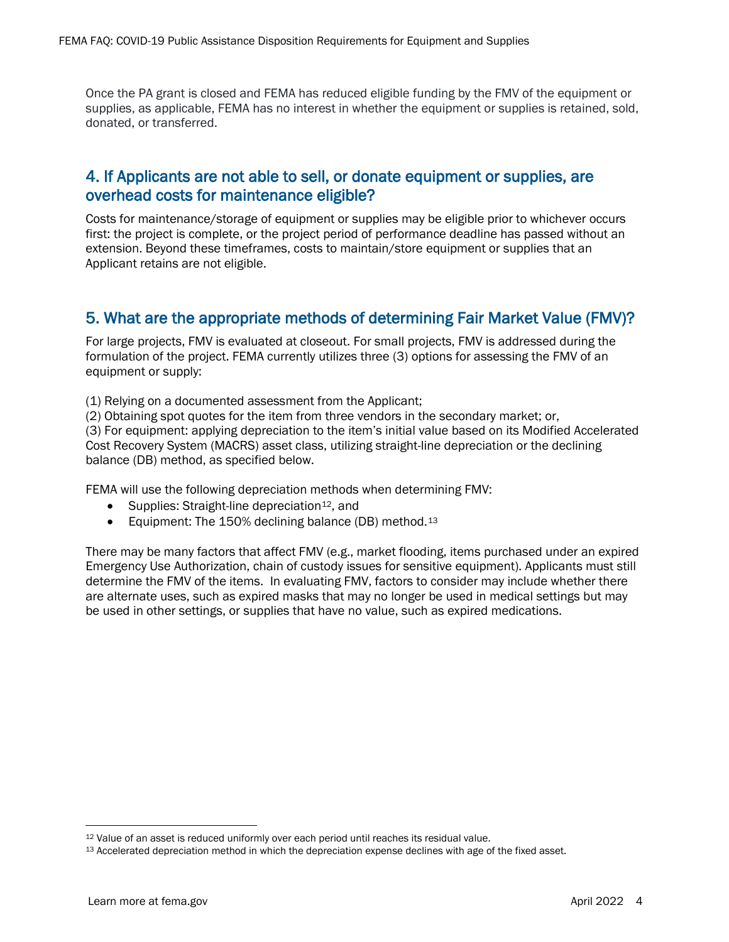Once the PA grant is closed and FEMA has reduced eligible funding by the FMV of the equipment or supplies, as applicable, FEMA has no interest in whether the equipment or supplies is retained, sold, donated, or transferred.

## 4. If Applicants are not able to sell, or donate equipment or supplies, are overhead costs for maintenance eligible?

Costs for maintenance/storage of equipment or supplies may be eligible prior to whichever occurs first: the project is complete, or the project period of performance deadline has passed without an extension. Beyond these timeframes, costs to maintain/store equipment or supplies that an Applicant retains are not eligible.

# 5. What are the appropriate methods of determining Fair Market Value (FMV)?

For large projects, FMV is evaluated at closeout. For small projects, FMV is addressed during the formulation of the project. FEMA currently utilizes three (3) options for assessing the FMV of an equipment or supply:

(1) Relying on a documented assessment from the Applicant;

(2) Obtaining spot quotes for the item from three vendors in the secondary market; or,

(3) For equipment: applying depreciation to the item's initial value based on its Modified Accelerated Cost Recovery System (MACRS) asset class, utilizing straight-line depreciation or the declining balance (DB) method, as specified below.

FEMA will use the following depreciation methods when determining FMV:

- Supplies: Straight-line depreciation<sup>12</sup>, and
- Equipment: The 150% declining balance (DB) method.<sup>[13](#page-3-1)</sup>

There may be many factors that affect FMV (e.g., market flooding, items purchased under an expired Emergency Use Authorization, chain of custody issues for sensitive equipment). Applicants must still determine the FMV of the items. In evaluating FMV, factors to consider may include whether there are alternate uses, such as expired masks that may no longer be used in medical settings but may be used in other settings, or supplies that have no value, such as expired medications.

<span id="page-3-0"></span><sup>12</sup> Value of an asset is reduced uniformly over each period until reaches its residual value.

<span id="page-3-1"></span><sup>13</sup> Accelerated depreciation method in which the depreciation expense declines with age of the fixed asset.